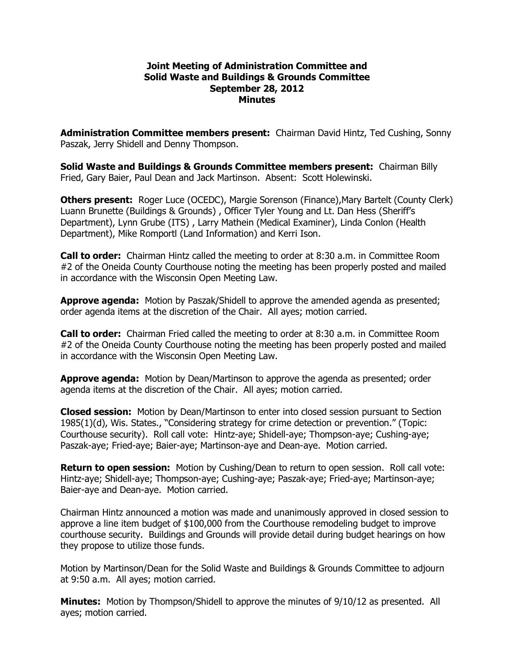#### **Joint Meeting of Administration Committee and Solid Waste and Buildings & Grounds Committee September 28, 2012 Minutes**

**Administration Committee members present:**  Chairman David Hintz, Ted Cushing, Sonny Paszak, Jerry Shidell and Denny Thompson.

**Solid Waste and Buildings & Grounds Committee members present:**  Chairman Billy Fried, Gary Baier, Paul Dean and Jack Martinson. Absent: Scott Holewinski.

**Others present:** Roger Luce (OCEDC), Margie Sorenson (Finance), Mary Bartelt (County Clerk) Luann Brunette (Buildings & Grounds) , Officer Tyler Young and Lt. Dan Hess (Sheriff's Department), Lynn Grube (ITS) , Larry Mathein (Medical Examiner), Linda Conlon (Health Department), Mike Romportl (Land Information) and Kerri Ison.

**Call to order:**  Chairman Hintz called the meeting to order at 8:30 a.m. in Committee Room #2 of the Oneida County Courthouse noting the meeting has been properly posted and mailed in accordance with the Wisconsin Open Meeting Law.

**Approve agenda:** Motion by Paszak/Shidell to approve the amended agenda as presented; order agenda items at the discretion of the Chair. All ayes; motion carried.

**Call to order:**  Chairman Fried called the meeting to order at 8:30 a.m. in Committee Room #2 of the Oneida County Courthouse noting the meeting has been properly posted and mailed in accordance with the Wisconsin Open Meeting Law.

**Approve agenda:** Motion by Dean/Martinson to approve the agenda as presented; order agenda items at the discretion of the Chair. All ayes; motion carried.

**Closed session:** Motion by Dean/Martinson to enter into closed session pursuant to Section 1985(1)(d), Wis. States., "Considering strategy for crime detection or prevention." (Topic: Courthouse security). Roll call vote: Hintz-aye; Shidell-aye; Thompson-aye; Cushing-aye; Paszak-aye; Fried-aye; Baier-aye; Martinson-aye and Dean-aye. Motion carried.

**Return to open session:** Motion by Cushing/Dean to return to open session. Roll call vote: Hintz-aye; Shidell-aye; Thompson-aye; Cushing-aye; Paszak-aye; Fried-aye; Martinson-aye; Baier-aye and Dean-aye. Motion carried.

Chairman Hintz announced a motion was made and unanimously approved in closed session to approve a line item budget of \$100,000 from the Courthouse remodeling budget to improve courthouse security. Buildings and Grounds will provide detail during budget hearings on how they propose to utilize those funds.

Motion by Martinson/Dean for the Solid Waste and Buildings & Grounds Committee to adjourn at 9:50 a.m. All ayes; motion carried.

**Minutes:** Motion by Thompson/Shidell to approve the minutes of 9/10/12 as presented. All ayes; motion carried.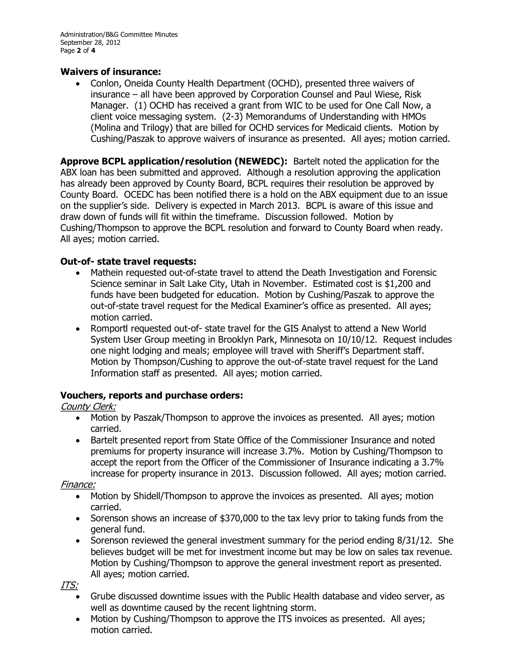### **Waivers of insurance:**

· Conlon, Oneida County Health Department (OCHD), presented three waivers of insurance – all have been approved by Corporation Counsel and Paul Wiese, Risk Manager. (1) OCHD has received a grant from WIC to be used for One Call Now, a client voice messaging system. (2-3) Memorandums of Understanding with HMOs (Molina and Trilogy) that are billed for OCHD services for Medicaid clients. Motion by Cushing/Paszak to approve waivers of insurance as presented. All ayes; motion carried.

**Approve BCPL application/resolution (NEWEDC):** Bartelt noted the application for the ABX loan has been submitted and approved. Although a resolution approving the application has already been approved by County Board, BCPL requires their resolution be approved by County Board. OCEDC has been notified there is a hold on the ABX equipment due to an issue on the supplier's side. Delivery is expected in March 2013. BCPL is aware of this issue and draw down of funds will fit within the timeframe. Discussion followed. Motion by Cushing/Thompson to approve the BCPL resolution and forward to County Board when ready. All ayes; motion carried.

## **Out-of- state travel requests:**

- Mathein requested out-of-state travel to attend the Death Investigation and Forensic Science seminar in Salt Lake City, Utah in November. Estimated cost is \$1,200 and funds have been budgeted for education. Motion by Cushing/Paszak to approve the out-of-state travel request for the Medical Examiner's office as presented. All ayes; motion carried.
- Romportl requested out-of- state travel for the GIS Analyst to attend a New World System User Group meeting in Brooklyn Park, Minnesota on 10/10/12. Request includes one night lodging and meals; employee will travel with Sheriff's Department staff. Motion by Thompson/Cushing to approve the out-of-state travel request for the Land Information staff as presented. All ayes; motion carried.

# **Vouchers, reports and purchase orders:**

# County Clerk:

- · Motion by Paszak/Thompson to approve the invoices as presented. All ayes; motion carried.
- · Bartelt presented report from State Office of the Commissioner Insurance and noted premiums for property insurance will increase 3.7%. Motion by Cushing/Thompson to accept the report from the Officer of the Commissioner of Insurance indicating a 3.7% increase for property insurance in 2013. Discussion followed. All ayes; motion carried.

### Finance:

- · Motion by Shidell/Thompson to approve the invoices as presented. All ayes; motion carried.
- Sorenson shows an increase of \$370,000 to the tax levy prior to taking funds from the general fund.
- Sorenson reviewed the general investment summary for the period ending 8/31/12. She believes budget will be met for investment income but may be low on sales tax revenue. Motion by Cushing/Thompson to approve the general investment report as presented. All ayes; motion carried.

ITS:

- · Grube discussed downtime issues with the Public Health database and video server, as well as downtime caused by the recent lightning storm.
- · Motion by Cushing/Thompson to approve the ITS invoices as presented. All ayes; motion carried.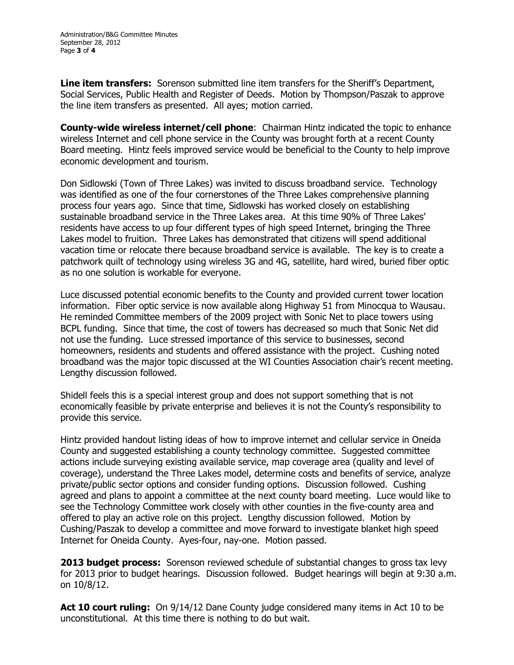**Line item transfers:** Sorenson submitted line item transfers for the Sheriff's Department, Social Services, Public Health and Register of Deeds. Motion by Thompson/Paszak to approve the line item transfers as presented. All ayes; motion carried.

**County-wide wireless internet/cell phone:** Chairman Hintz indicated the topic to enhance wireless Internet and cell phone service in the County was brought forth at a recent County Board meeting. Hintz feels improved service would be beneficial to the County to help improve economic development and tourism.

Don Sidlowski (Town of Three Lakes) was invited to discuss broadband service. Technology was identified as one of the four cornerstones of the Three Lakes comprehensive planning process four years ago. Since that time, Sidlowski has worked closely on establishing sustainable broadband service in the Three Lakes area. At this time 90% of Three Lakes' residents have access to up four different types of high speed Internet, bringing the Three Lakes model to fruition. Three Lakes has demonstrated that citizens will spend additional vacation time or relocate there because broadband service is available. The key is to create a patchwork quilt of technology using wireless 3G and 4G, satellite, hard wired, buried fiber optic as no one solution is workable for everyone.

Luce discussed potential economic benefits to the County and provided current tower location information. Fiber optic service is now available along Highway 51 from Minocqua to Wausau. He reminded Committee members of the 2009 project with Sonic Net to place towers using BCPL funding. Since that time, the cost of towers has decreased so much that Sonic Net did not use the funding. Luce stressed importance of this service to businesses, second homeowners, residents and students and offered assistance with the project. Cushing noted broadband was the major topic discussed at the WI Counties Association chair's recent meeting. Lengthy discussion followed.

Shidell feels this is a special interest group and does not support something that is not economically feasible by private enterprise and believes it is not the County's responsibility to provide this service.

Hintz provided handout listing ideas of how to improve internet and cellular service in Oneida County and suggested establishing a county technology committee. Suggested committee actions include surveying existing available service, map coverage area (quality and level of coverage), understand the Three Lakes model, determine costs and benefits of service, analyze private/public sector options and consider funding options. Discussion followed. Cushing agreed and plans to appoint a committee at the next county board meeting. Luce would like to see the Technology Committee work closely with other counties in the five-county area and offered to play an active role on this project. Lengthy discussion followed. Motion by Cushing/Paszak to develop a committee and move forward to investigate blanket high speed Internet for Oneida County. Ayes-four, nay-one. Motion passed.

**2013 budget process:** Sorenson reviewed schedule of substantial changes to gross tax levy for 2013 prior to budget hearings. Discussion followed. Budget hearings will begin at 9:30 a.m. on 10/8/12.

**Act 10 court ruling:**  On 9/14/12 Dane County judge considered many items in Act 10 to be unconstitutional. At this time there is nothing to do but wait.